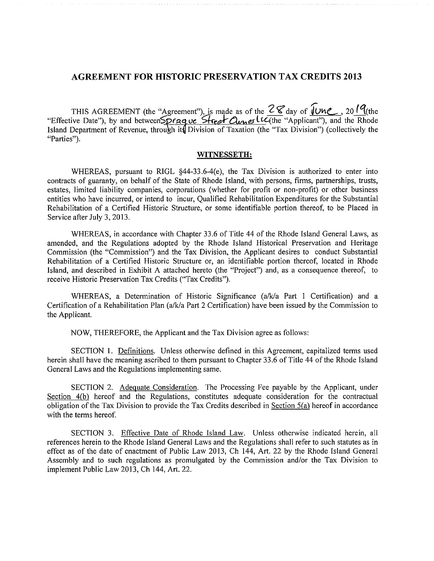## **AGREEMENT FOR HISTORIC PRESERVATION TAX CREDITS 2013**

THIS AGREEMENT (the "Agreement"), is made as of the  $2 \le$  day of  $\sqrt{U}$  $M$ , 20  $\sqrt{U}$  (the "Effective Date"), by and between  $\frac{D \cap \alpha q}{D}$   $\alpha \leq \frac{C}{D}$   $\alpha \leq \frac{C}{D}$   $\alpha \leq \frac{C}{D}$  (the "Applicant"), and the Rhode I "Parties").

#### WITNESSETH:

WHEREAS, pursuant to RIGL §44-33.6-4(e), the Tax Division is authorized to enter into contracts of guaranty, on behalf of the State of Rhode Island, with persons, firms, partnerships, trusts, estates, limited liability companies, corporations (whether for profit or non-profit) or other business entities who have incurred, or intend to incur, Qualified Rehabilitation Expenditures for the Substantial Rehabilitation of a Certified Historic Structure, or some identifiable portion thereof, to be Placed in Service after July 3, 2013.

WHEREAS, in accordance with Chapter 33.6 of Title 44 of the Rhode Island General Laws, as amended, and the Regulations adopted by the Rhode Island Historical Preservation and Heritage Commission (the "Commission") and the Tax Division, the Applicant desires to conduct Substantial Rehabilitation of a Certified Historic Structure or, an identifiable portion thereof, located in Rhode Island, and described in Exhibit A attached hereto (the "Project") and, as a consequence thereof, to receive Historic Preservation Tax Credits ("Tax Credits").

WHEREAS, a Determination of Historic Significance (a/k/a Part 1 Certification) and a Certification of a Rehabilitation Plan (a/k/a Part 2 Certification) have been issued by the Commission to the Applicant.

NOW, THEREFORE, the Applicant and the Tax Division agree as follows:

SECTION 1. Definitions. Unless otherwise defined in this Agreement, capitalized terms used herein shall have the meaning ascribed to them pursuant to Chapter 33.6 of Title 44 of the Rhode Island General Laws and the Regulations implementing same.

SECTION 2. Adequate Consideration. The Processing Fee payable by the Applicant, under Section 4(b) hereof and the Regulations, constitutes adequate consideration for the contractual obligation of the Tax Division to provide the Tax Credits described in Section  $5(a)$  hereof in accordance with the terms hereof.

SECTION 3. Effective Date of Rhode Island Law. Unless otherwise indicated herein, all references herein to the Rhode Island General Laws and the Regulations shall refer to such statutes as in effect as of the date of enactment of Public Law 2013, Ch 144, Art. 22 by the Rhode Island General Assembly and to such regulations as promulgated by the Commission and/or the Tax Division to implement Public Law 2013, Ch 144, Art. 22.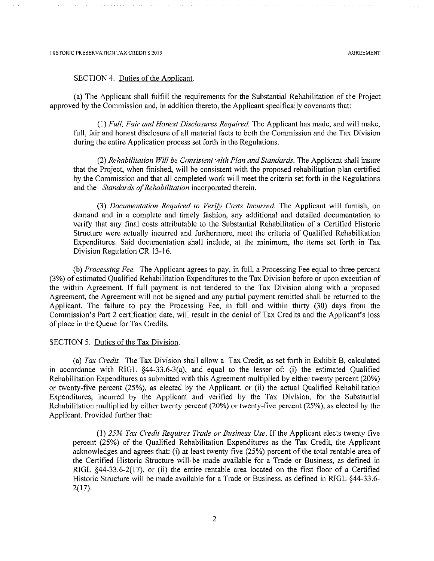#### SECTION 4. Duties of the Applicant.

(a) The Applicant shall fulfill the requirements for the Substantial Rehabilitation of the Project approved by the Commission and, in addition thereto, the Applicant specifically covenants that:

(1) Full, Fair and Honest Disclosures Required. The Applicant has made, and will make, full, fair and honest disclosure of all material facts to both the Commission and the Tax Division during the entire Application process set forth in the Regulations.

(2) Rehabilitation Will be Consistent with Plan and Standards. The Applicant shall insure that the Project, when finished, will be consistent with the proposed rehabilitation plan certified by the Commission and that all completed work will meet the criteria set forth in the Regulations and the Standards of Rehabilitation incorporated therein.

(3) Documentation Required to Verify Costs Incurred. The Applicant will furnish, on demand and in a complete and timely fashion, any additional and detailed documentation to verify that any final costs attributable to the Substantial Rehabilitation of a Certified Historic Structure were actually incurred and furthermore, meet the criteria of Qualified Rehabilitation Expenditures. Said documentation shall include, at the minimum, the items set forth in Tax Division Regulation CR 13-16.

(b) Processing Fee. The Applicant agrees to pay, in full, a Processing Fee equal to three percent (3%) of estimated Oualified Rehabilitation Expenditures to the Tax Division before or upon execution of the within Agreement. If full payment is not tendered to the Tax Division along with a proposed Agreement, the Agreement will not be signed and any partial payment remitted shall be returned to the Applicant. The failure to pay the Processing Fee, in full and within thirty (30) days from the Commission's Part 2 certification date, will result in the denial of Tax Credits and the Applicant's loss of place in the Queue for Tax Credits.

#### SECTION 5. Duties of the Tax Division.

(a) Tax Credit. The Tax Division shall allow a Tax Credit, as set forth in Exhibit B, calculated in accordance with RIGL §44-33.6-3(a), and equal to the lesser of: (i) the estimated Qualified Rehabilitation Expenditures as submitted with this Agreement multiplied by either twenty percent (20%) or twenty-five percent (25%), as elected by the Applicant, or (ii) the actual Qualified Rehabilitation Expenditures, incurred by the Applicant and verified by the Tax Division, for the Substantial Rehabilitation multiplied by either twenty percent (20%) or twenty-five percent (25%), as elected by the Applicant. Provided further that:

(1) 25% Tax Credit Requires Trade or Business Use. If the Applicant elects twenty five percent (25%) of the Qualified Rehabilitation Expenditures as the Tax Credit, the Applicant acknowledges and agrees that: (i) at least twenty five (25%) percent of the total rentable area of the Certified Historic Structure will be made available for a Trade or Business, as defined in RIGL §44-33.6-2(17), or (ii) the entire rentable area located on the first floor of a Certified Historic Structure will be made available for a Trade or Business, as defined in RIGL §44-33.6- $2(17)$ .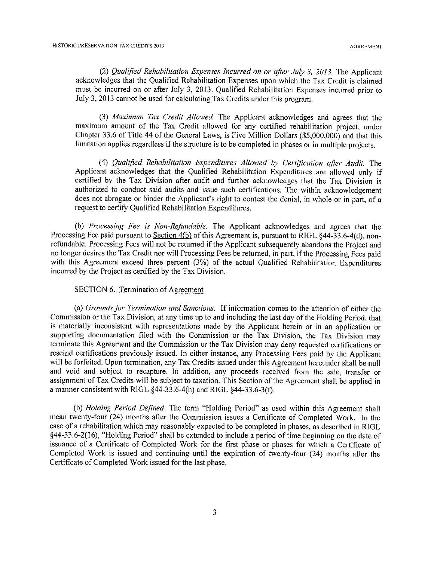(2) Qualified Rehabilitation Expenses Incurred on or after July 3, 2013. The Applicant acknowledges that the Qualified Rehabilitation Expenses upon which the Tax Credit is claimed must be incurred on or after July 3, 2013. Qualified Rehabilitation Expenses incurred prior to July 3, 2013 cannot be used for calculating Tax Credits under this program.

(3) Maximum Tax Credit Allowed. The Applicant acknowledges and agrees that the maximum amount of the Tax Credit allowed for any certified rehabilitation project, under Chapter 33.6 of Title 44 of the General Laws, is Five Million Dollars (\$5,000,000) and that this limitation applies regardless if the structure is to be completed in phases or in multiple projects.

(4) Qualified Rehabilitation Expenditures Allowed by Certification after Audit. The Applicant acknowledges that the Qualified Rehabilitation Expenditures are allowed only if certified by the Tax Division after audit and further acknowledges that the Tax Division is authorized to conduct said audits and issue such certifications. The within acknowledgement does not abrogate or hinder the Applicant's right to contest the denial, in whole or in part, of a request to certify Qualified Rehabilitation Expenditures.

(b) Processing Fee is Non-Refundable. The Applicant acknowledges and agrees that the Processing Fee paid pursuant to Section 4(b) of this Agreement is, pursuant to RIGL 844-33.6-4(d), nonrefundable. Processing Fees will not be returned if the Applicant subsequently abandons the Project and no longer desires the Tax Credit nor will Processing Fees be returned, in part, if the Processing Fees paid with this Agreement exceed three percent (3%) of the actual Qualified Rehabilitation Expenditures incurred by the Project as certified by the Tax Division.

#### SECTION 6. Termination of Agreement

(a) Grounds for Termination and Sanctions. If information comes to the attention of either the Commission or the Tax Division, at any time up to and including the last day of the Holding Period, that is materially inconsistent with representations made by the Applicant herein or in an application or supporting documentation filed with the Commission or the Tax Division, the Tax Division may terminate this Agreement and the Commission or the Tax Division may deny requested certifications or rescind certifications previously issued. In either instance, any Processing Fees paid by the Applicant will be forfeited. Upon termination, any Tax Credits issued under this Agreement hereunder shall be null and void and subject to recapture. In addition, any proceeds received from the sale, transfer or assignment of Tax Credits will be subject to taxation. This Section of the Agreement shall be applied in a manner consistent with RIGL §44-33.6-4(h) and RIGL §44-33.6-3(f).

(b) Holding Period Defined. The term "Holding Period" as used within this Agreement shall mean twenty-four (24) months after the Commission issues a Certificate of Completed Work. In the case of a rehabilitation which may reasonably expected to be completed in phases, as described in RIGL §44-33.6-2(16), "Holding Period" shall be extended to include a period of time beginning on the date of issuance of a Certificate of Completed Work for the first phase or phases for which a Certificate of Completed Work is issued and continuing until the expiration of twenty-four (24) months after the Certificate of Completed Work issued for the last phase.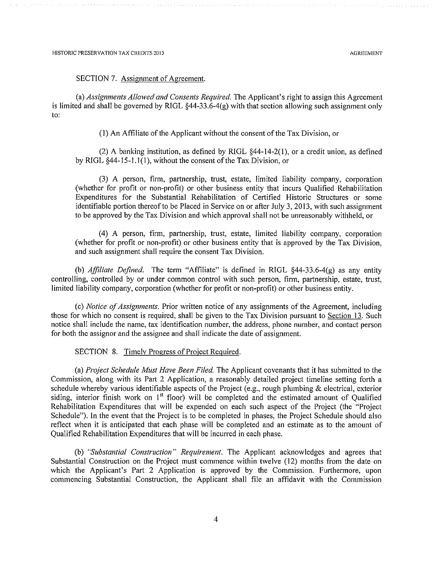#### SECTION 7. Assignment of Agreement.

(a) Assignments Allowed and Consents Required. The Applicant's right to assign this Agreement is limited and shall be governed by RIGL  $§$ 44-33.6-4(g) with that section allowing such assignment only to:

(1) An Affiliate of the Applicant without the consent of the Tax Division, or

(2) A banking institution, as defined by RIGL  $\S$ 44-14-2(1), or a credit union, as defined by RIGL  $§44-15-1.1(1)$ , without the consent of the Tax Division, or

(3) A person, firm, partnership, trust, estate, limited liability company, corporation (whether for profit or non-profit) or other business entity that incurs Oualified Rehabilitation Expenditures for the Substantial Rehabilitation of Certified Historic Structures or some identifiable portion thereof to be Placed in Service on or after July 3, 2013, with such assignment to be approved by the Tax Division and which approval shall not be unreasonably withheld, or

(4) A person, firm, partnership, trust, estate, limited liability company, corporation (whether for profit or non-profit) or other business entity that is approved by the Tax Division, and such assignment shall require the consent Tax Division.

(b) *Affiliate Defined*. The term "Affiliate" is defined in RIGL  $\S$ 44-33.6-4(g) as any entity controlling, controlled by or under common control with such person, firm, partnership, estate, trust, limited liability company, corporation (whether for profit or non-profit) or other business entity.

(c) *Notice of Assignments*. Prior written notice of any assignments of the Agreement, including those for which no consent is required, shall be given to the Tax Division pursuant to Section 13. Such notice shall include the name, tax identification number, the address, phone number, and contact person for both the assignor and the assignee and shall indicate the date of assignment.

SECTION 8. Timely Progress of Project Required.

(a) Project Schedule Must Have Been Filed. The Applicant covenants that it has submitted to the Commission, along with its Part 2 Application, a reasonably detailed project timeline setting forth a schedule whereby various identifiable aspects of the Project (e.g., rough plumbing  $\&$  electrical, exterior siding, interior finish work on 1<sup>st</sup> floor) will be completed and the estimated amount of Qualified Rehabilitation Expenditures that will be expended on each such aspect of the Project (the "Project Schedule"). In the event that the Project is to be completed in phases, the Project Schedule should also reflect when it is anticipated that each phase will be completed and an estimate as to the amount of Qualified Rehabilitation Expenditures that will be incurred in each phase.

(b) "Substantial Construction" Requirement. The Applicant acknowledges and agrees that Substantial Construction on the Project must commence within twelve (12) months from the date on which the Applicant's Part 2 Application is approved by the Commission. Furthermore, upon commencing Substantial Construction, the Applicant shall file an affidavit with the Commission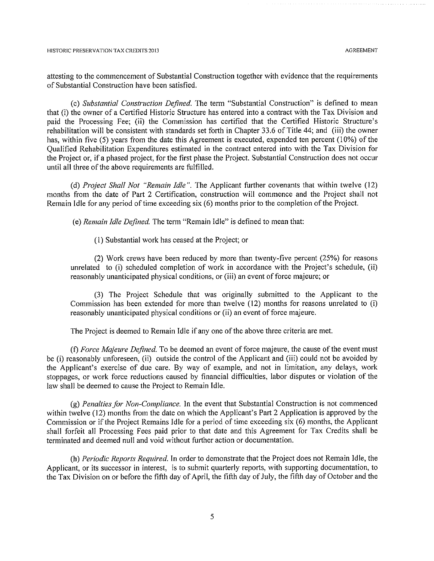attesting to the commencement of Substantial Construction together with evidence that the requirements of Substantial Construction have been satisfied.

(c) Substantial Construction Defined. The term "Substantial Construction" is defined to mean that (i) the owner of a Certified Historic Structure has entered into a contract with the Tax Division and paid the Processing Fee; (ii) the Commission has certified that the Certified Historic Structure's rehabilitation will be consistent with standards set forth in Chapter 33.6 of Title 44; and (iii) the owner has, within five (5) years from the date this Agreement is executed, expended ten percent (10%) of the Qualified Rehabilitation Expenditures estimated in the contract entered into with the Tax Division for the Project or, if a phased project, for the first phase the Project. Substantial Construction does not occur until all three of the above requirements are fulfilled.

(d) Project Shall Not "Remain Idle". The Applicant further covenants that within twelve (12) months from the date of Part 2 Certification, construction will commence and the Project shall not Remain Idle for any period of time exceeding six (6) months prior to the completion of the Project.

(e) Remain Idle Defined. The term "Remain Idle" is defined to mean that:

(1) Substantial work has ceased at the Project; or

(2) Work crews have been reduced by more than twenty-five percent (25%) for reasons unrelated to (i) scheduled completion of work in accordance with the Project's schedule, (ii) reasonably unanticipated physical conditions, or (iii) an event of force majeure; or

(3) The Project Schedule that was originally submitted to the Applicant to the Commission has been extended for more than twelve (12) months for reasons unrelated to (i) reasonably unanticipated physical conditions or (ii) an event of force majeure.

The Project is deemed to Remain Idle if any one of the above three criteria are met.

(f) Force Majeure Defined. To be deemed an event of force majeure, the cause of the event must be (i) reasonably unforeseen, (ii) outside the control of the Applicant and (iii) could not be avoided by the Applicant's exercise of due care. By way of example, and not in limitation, any delays, work stoppages, or work force reductions caused by financial difficulties, labor disputes or violation of the law shall be deemed to cause the Project to Remain Idle.

(g) Penalties for Non-Compliance. In the event that Substantial Construction is not commenced within twelve (12) months from the date on which the Applicant's Part 2 Application is approved by the Commission or if the Project Remains Idle for a period of time exceeding six (6) months, the Applicant shall forfeit all Processing Fees paid prior to that date and this Agreement for Tax Credits shall be terminated and deemed null and void without further action or documentation.

(h) Periodic Reports Required. In order to demonstrate that the Project does not Remain Idle, the Applicant, or its successor in interest, is to submit quarterly reports, with supporting documentation, to the Tax Division on or before the fifth day of April, the fifth day of July, the fifth day of October and the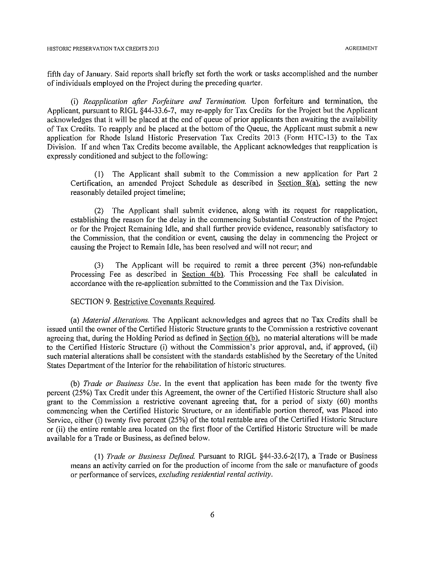fifth day of January. Said reports shall briefly set forth the work or tasks accomplished and the number of individuals employed on the Project during the preceding quarter.

(i) Reapplication after Forfeiture and Termination. Upon forfeiture and termination, the Applicant, pursuant to RIGL §44-33.6-7, may re-apply for Tax Credits for the Project but the Applicant acknowledges that it will be placed at the end of queue of prior applicants then awaiting the availability of Tax Credits. To reapply and be placed at the bottom of the Queue, the Applicant must submit a new application for Rhode Island Historic Preservation Tax Credits 2013 (Form HTC-13) to the Tax Division. If and when Tax Credits become available, the Applicant acknowledges that reapplication is expressly conditioned and subject to the following:

(1) The Applicant shall submit to the Commission a new application for Part 2 Certification, an amended Project Schedule as described in Section 8(a), setting the new reasonably detailed project timeline;

(2) The Applicant shall submit evidence, along with its request for reapplication, establishing the reason for the delay in the commencing Substantial Construction of the Project or for the Project Remaining Idle, and shall further provide evidence, reasonably satisfactory to the Commission, that the condition or event, causing the delay in commencing the Project or causing the Project to Remain Idle, has been resolved and will not recur; and

The Applicant will be required to remit a three percent (3%) non-refundable  $(3)$ Processing Fee as described in Section 4(b). This Processing Fee shall be calculated in accordance with the re-application submitted to the Commission and the Tax Division.

#### SECTION 9. Restrictive Covenants Required.

(a) Material Alterations. The Applicant acknowledges and agrees that no Tax Credits shall be issued until the owner of the Certified Historic Structure grants to the Commission a restrictive covenant agreeing that, during the Holding Period as defined in Section 6(b), no material alterations will be made to the Certified Historic Structure (i) without the Commission's prior approval, and, if approved, (ii) such material alterations shall be consistent with the standards established by the Secretary of the United States Department of the Interior for the rehabilitation of historic structures.

(b) *Trade or Business Use*. In the event that application has been made for the twenty five percent (25%) Tax Credit under this Agreement, the owner of the Certified Historic Structure shall also grant to the Commission a restrictive covenant agreeing that, for a period of sixty (60) months commencing when the Certified Historic Structure, or an identifiable portion thereof, was Placed into Service, either (i) twenty five percent (25%) of the total rentable area of the Certified Historic Structure or (ii) the entire rentable area located on the first floor of the Certified Historic Structure will be made available for a Trade or Business, as defined below.

(1) Trade or Business Defined. Pursuant to RIGL §44-33.6-2(17), a Trade or Business means an activity carried on for the production of income from the sale or manufacture of goods or performance of services, excluding residential rental activity.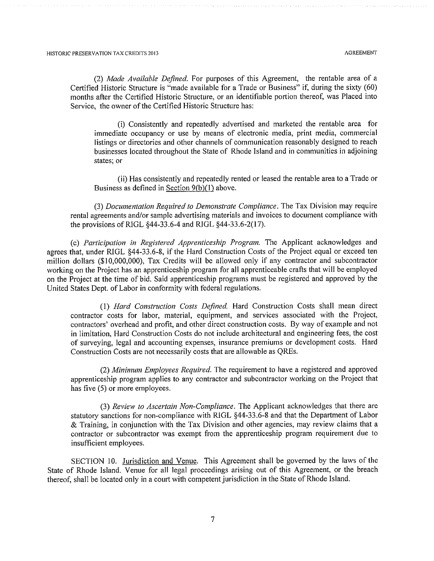(2) Made Available Defined. For purposes of this Agreement, the rentable area of a Certified Historic Structure is "made available for a Trade or Business" if, during the sixty (60) months after the Certified Historic Structure, or an identifiable portion thereof, was Placed into Service, the owner of the Certified Historic Structure has:

(i) Consistently and repeatedly advertised and marketed the rentable area for immediate occupancy or use by means of electronic media, print media, commercial listings or directories and other channels of communication reasonably designed to reach businesses located throughout the State of Rhode Island and in communities in adjoining states; or

(ii) Has consistently and repeatedly rented or leased the rentable area to a Trade or Business as defined in Section 9(b)(1) above.

(3) Documentation Required to Demonstrate Compliance. The Tax Division may require rental agreements and/or sample advertising materials and invoices to document compliance with the provisions of RIGL §44-33.6-4 and RIGL §44-33.6-2(17).

(c) Participation in Registered Apprenticeship Program. The Applicant acknowledges and agrees that, under RIGL §44-33.6-8, if the Hard Construction Costs of the Project equal or exceed ten million dollars (\$10,000,000), Tax Credits will be allowed only if any contractor and subcontractor working on the Project has an apprenticeship program for all apprenticeable crafts that will be employed on the Project at the time of bid. Said apprenticeship programs must be registered and approved by the United States Dept. of Labor in conformity with federal regulations.

(1) Hard Construction Costs Defined. Hard Construction Costs shall mean direct contractor costs for labor, material, equipment, and services associated with the Project, contractors' overhead and profit, and other direct construction costs. By way of example and not in limitation, Hard Construction Costs do not include architectural and engineering fees, the cost of surveying, legal and accounting expenses, insurance premiums or development costs. Hard Construction Costs are not necessarily costs that are allowable as QREs.

(2) Minimum Employees Required. The requirement to have a registered and approved apprenticeship program applies to any contractor and subcontractor working on the Project that has five (5) or more employees.

(3) Review to Ascertain Non-Compliance. The Applicant acknowledges that there are statutory sanctions for non-compliance with RIGL §44-33.6-8 and that the Department of Labor & Training, in conjunction with the Tax Division and other agencies, may review claims that a contractor or subcontractor was exempt from the apprenticeship program requirement due to insufficient employees.

SECTION 10. Jurisdiction and Venue. This Agreement shall be governed by the laws of the State of Rhode Island. Venue for all legal proceedings arising out of this Agreement, or the breach thereof, shall be located only in a court with competent jurisdiction in the State of Rhode Island.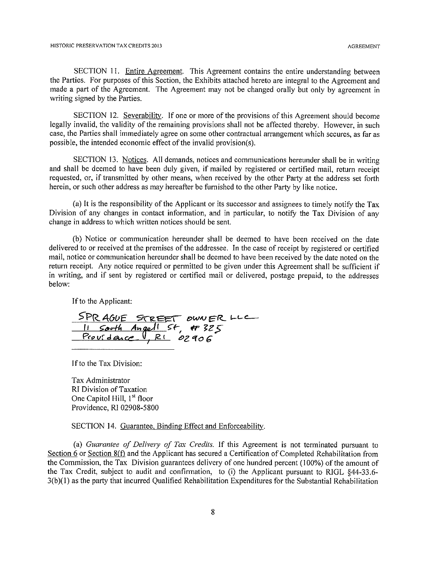SECTION 11. Entire Agreement. This Agreement contains the entire understanding between the Parties. For purposes of this Section, the Exhibits attached hereto are integral to the Agreement and made a part of the Agreement. The Agreement may not be changed orally but only by agreement in writing signed by the Parties.

SECTION 12. Severability. If one or more of the provisions of this Agreement should become legally invalid, the validity of the remaining provisions shall not be affected thereby. However, in such case, the Parties shall immediately agree on some other contractual arrangement which secures, as far as possible, the intended economic effect of the invalid provision(s).

SECTION 13. Notices. All demands, notices and communications hereunder shall be in writing and shall be deemed to have been duly given, if mailed by registered or certified mail, return receipt requested, or, if transmitted by other means, when received by the other Party at the address set forth herein, or such other address as may hereafter be furnished to the other Party by like notice.

(a) It is the responsibility of the Applicant or its successor and assignees to timely notify the Tax Division of any changes in contact information, and in particular, to notify the Tax Division of any change in address to which written notices should be sent.

(b) Notice or communication hereunder shall be deemed to have been received on the date delivered to or received at the premises of the addressee. In the case of receipt by registered or certified mail, notice or communication hereunder shall be deemed to have been received by the date noted on the return receipt. Any notice required or permitted to be given under this Agreement shall be sufficient if in writing, and if sent by registered or certified mail or delivered, postage prepaid, to the addresses below:

If to the Applicant:

SPRAGUE STREET DWNER LLC<br>11 South Angel! St, #325<br>Providence , RL 02906

If to the Tax Division:

Tax Administrator RI Division of Taxation One Capitol Hill, 1<sup>st</sup> floor Providence, RI 02908-5800

SECTION 14. Guarantee, Binding Effect and Enforceability.

(a) Guarantee of Delivery of Tax Credits. If this Agreement is not terminated pursuant to Section 6 or Section 8(f) and the Applicant has secured a Certification of Completed Rehabilitation from the Commission, the Tax Division guarantees delivery of one hundred percent (100%) of the amount of the Tax Credit, subject to audit and confirmation, to (i) the Applicant pursuant to RIGL §44-33.6-3(b)(1) as the party that incurred Qualified Rehabilitation Expenditures for the Substantial Rehabilitation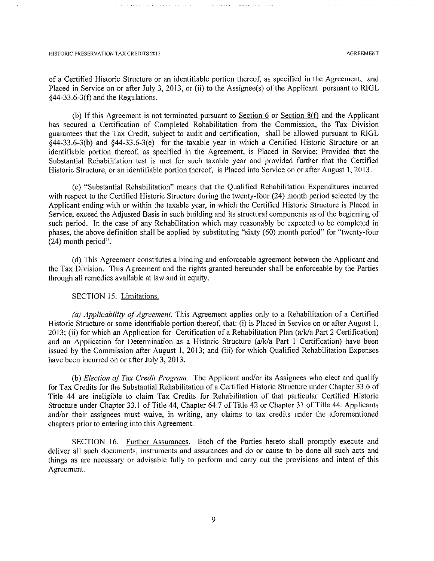of a Certified Historic Structure or an identifiable portion thereof, as specified in the Agreement, and Placed in Service on or after July 3, 2013, or (ii) to the Assignee(s) of the Applicant pursuant to RIGL  $§44-33.6-3(f)$  and the Regulations.

(b) If this Agreement is not terminated pursuant to Section  $6$  or Section  $8(f)$  and the Applicant has secured a Certification of Completed Rehabilitation from the Commission, the Tax Division guarantees that the Tax Credit, subject to audit and certification, shall be allowed pursuant to RIGL  $\overline{\S}$ 44-33.6-3(b) and  $\S$ 44-33.6-3(e) for the taxable year in which a Certified Historic Structure or an identifiable portion thereof, as specified in the Agreement, is Placed in Service; Provided that the Substantial Rehabilitation test is met for such taxable year and provided further that the Certified Historic Structure, or an identifiable portion thereof, is Placed into Service on or after August 1, 2013.

(c) "Substantial Rehabilitation" means that the Qualified Rehabilitation Expenditures incurred with respect to the Certified Historic Structure during the twenty-four (24) month period selected by the Applicant ending with or within the taxable year, in which the Certified Historic Structure is Placed in Service, exceed the Adjusted Basis in such building and its structural components as of the beginning of such period. In the case of any Rehabilitation which may reasonably be expected to be completed in phases, the above definition shall be applied by substituting "sixty (60) month period" for "twenty-four (24) month period".

(d) This Agreement constitutes a binding and enforceable agreement between the Applicant and the Tax Division. This Agreement and the rights granted hereunder shall be enforceable by the Parties through all remedies available at law and in equity.

#### SECTION 15. Limitations.

(a) Applicability of Agreement. This Agreement applies only to a Rehabilitation of a Certified Historic Structure or some identifiable portion thereof, that: (i) is Placed in Service on or after August 1, 2013; (ii) for which an Application for Certification of a Rehabilitation Plan (a/k/a Part 2 Certification) and an Application for Determination as a Historic Structure (a/k/a Part 1 Certification) have been issued by the Commission after August 1, 2013; and (iii) for which Qualified Rehabilitation Expenses have been incurred on or after July 3, 2013.

(b) Election of Tax Credit Program. The Applicant and/or its Assignees who elect and qualify for Tax Credits for the Substantial Rehabilitation of a Certified Historic Structure under Chapter 33.6 of Title 44 are ineligible to claim Tax Credits for Rehabilitation of that particular Certified Historic Structure under Chapter 33.1 of Title 44, Chapter 64.7 of Title 42 or Chapter 31 of Title 44. Applicants and/or their assignees must waive, in writing, any claims to tax credits under the aforementioned chapters prior to entering into this Agreement.

SECTION 16. Further Assurances. Each of the Parties hereto shall promptly execute and deliver all such documents, instruments and assurances and do or cause to be done all such acts and things as are necessary or advisable fully to perform and carry out the provisions and intent of this Agreement.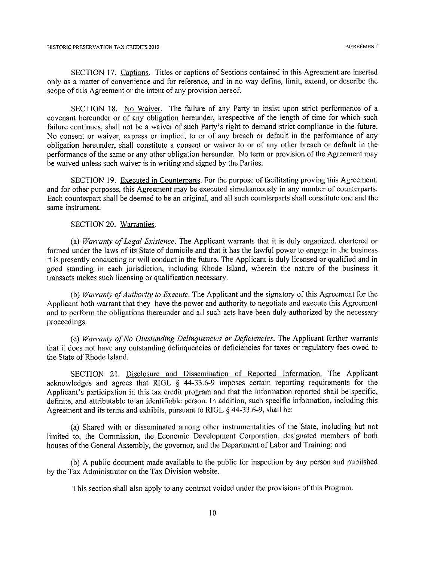SECTION 17. Captions. Titles or captions of Sections contained in this Agreement are inserted only as a matter of convenience and for reference, and in no way define, limit, extend, or describe the scope of this Agreement or the intent of any provision hereof.

SECTION 18. No Waiver. The failure of any Party to insist upon strict performance of a covenant hereunder or of any obligation hereunder, irrespective of the length of time for which such failure continues, shall not be a waiver of such Party's right to demand strict compliance in the future. No consent or waiver, express or implied, to or of any breach or default in the performance of any obligation hereunder, shall constitute a consent or waiver to or of any other breach or default in the performance of the same or any other obligation hereunder. No term or provision of the Agreement may be waived unless such waiver is in writing and signed by the Parties.

SECTION 19. Executed in Counterparts. For the purpose of facilitating proving this Agreement, and for other purposes, this Agreement may be executed simultaneously in any number of counterparts. Each counterpart shall be deemed to be an original, and all such counterparts shall constitute one and the same instrument.

SECTION 20. Warranties.

(a) Warranty of Legal Existence. The Applicant warrants that it is duly organized, chartered or formed under the laws of its State of domicile and that it has the lawful power to engage in the business it is presently conducting or will conduct in the future. The Applicant is duly licensed or qualified and in good standing in each jurisdiction, including Rhode Island, wherein the nature of the business it transacts makes such licensing or qualification necessary.

(b) Warranty of Authority to Execute. The Applicant and the signatory of this Agreement for the Applicant both warrant that they have the power and authority to negotiate and execute this Agreement and to perform the obligations thereunder and all such acts have been duly authorized by the necessary proceedings.

(c) Warranty of No Outstanding Delinquencies or Deficiencies. The Applicant further warrants that it does not have any outstanding delinguencies or deficiencies for taxes or regulatory fees owed to the State of Rhode Island.

SECTION 21. Disclosure and Dissemination of Reported Information. The Applicant acknowledges and agrees that RIGL § 44-33.6-9 imposes certain reporting requirements for the Applicant's participation in this tax credit program and that the information reported shall be specific, definite, and attributable to an identifiable person. In addition, such specific information, including this Agreement and its terms and exhibits, pursuant to RIGL  $\S$  44-33.6-9, shall be:

(a) Shared with or disseminated among other instrumentalities of the State, including but not limited to, the Commission, the Economic Development Corporation, designated members of both houses of the General Assembly, the governor, and the Department of Labor and Training; and

(b) A public document made available to the public for inspection by any person and published by the Tax Administrator on the Tax Division website.

This section shall also apply to any contract voided under the provisions of this Program.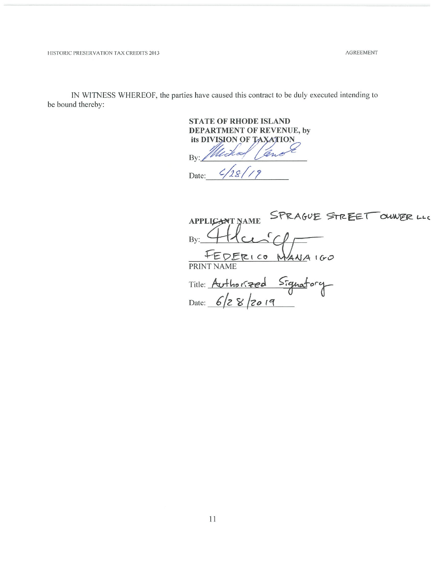**AGREEMENT** 

HISTORIC PRESERVATION TAX CREDITS 2013

IN WITNESS WHEREOF, the parties have caused this contract to be duly executed intending to be bound thereby:

> **STATE OF RHODE ISLAND DEPARTMENT OF REVENUE, by** its DIVISION OF By

Date:

AGUE STREET OUNER LLC **APPLICANT NAME** By: MANA 160  $5215$ **PRINT** Signatory Title: Authorized Date: 6/28/2019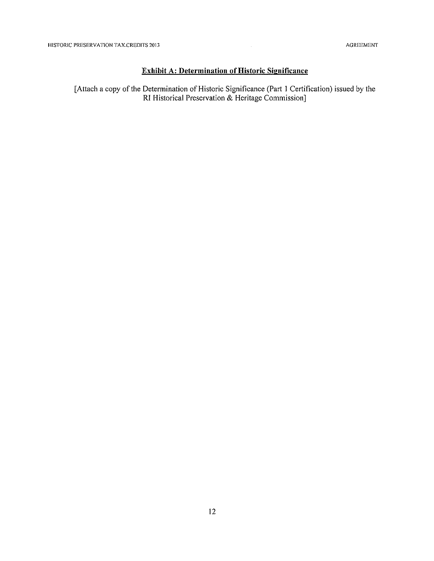## **Exhibit A: Determination of Historic Significance**

[Attach a copy of the Determination of Historic Significance (Part 1 Certification) issued by the<br>RI Historical Preservation & Heritage Commission]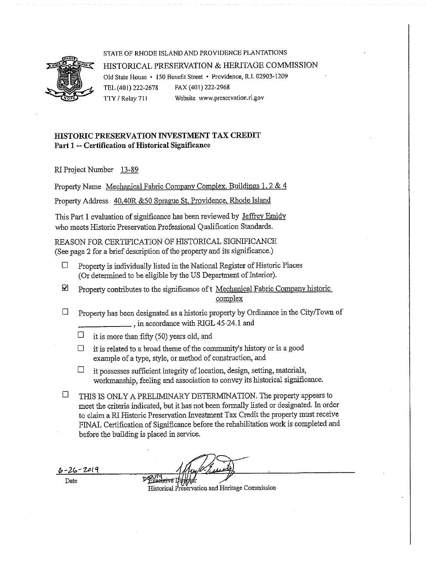

#### STATE OF RHODE ISLAND AND PROVIDENCE PLANTATIONS

#### HISTORICAL PRESERVATION & HERITAGE COMMISSION Old State House · 150 Benefit Street · Providence, R.I. 02903-1209 FAX (401) 222-2968 TEL (401) 222-2678 TTY / Relay 711 Website www.preservation.ri.gov

## HISTORIC PRESERVATION INVESTMENT TAX CREDIT Part 1 -- Certification of Historical Significance

RI Project Number 13-89

Property Name Mechanical Fabric Company Complex, Buildings 1, 2 & 4

Property Address 40,40R &50 Sprague St. Providence, Rhode Island

This Part 1 evaluation of significance has been reviewed by Jeffrey Emidy who meets Historic Preservation Professional Qualification Standards.

REASON FOR CERTIFICATION OF HISTORICAL SIGNIFICANCE (See page 2 for a brief description of the property and its significance.)

- Property is individually listed in the National Register of Historic Places  $\Box$ (Or determined to be eligible by the US Department of Interior).
- Property contributes to the significance of t Mechanical Fabric Company historic ☑ complex
- $\Box$ Property has been designated as a historic property by Ordinance in the City/Town of \_, in accordance with RIGL 45-24.1 and
	- $\Box$ it is more than fifty (50) years old, and
	- $\Box$ it is related to a broad theme of the community's history or is a good example of a type, style, or method of construction, and
	- $\Box$ it possesses sufficient integrity of location, design, setting, materials, workmanship, feeling and association to convey its historical significance.
- $\Box$ THIS IS ONLY A PRELIMINARY DETERMINATION. The property appears to meet the criteria indicated, but it has not been formally listed or designated. In order to claim a RI Historic Preservation Investment Tax Credit the property must receive FINAL Certification of Significance before the rehabilitation work is completed and before the building is placed in service.

 $6 - 26 - 2019$ 

Date

Historical Preservation and Heritage Commission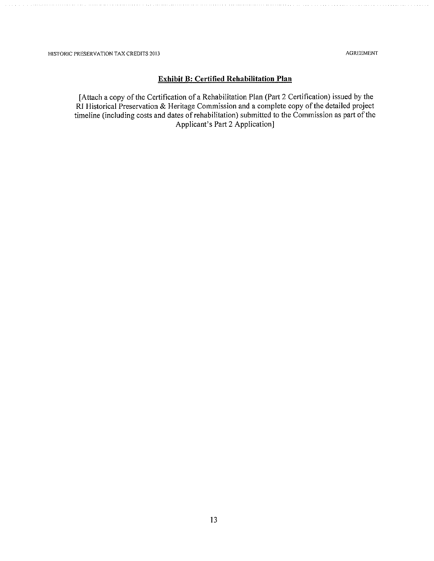**AGREEMENT** 

### **Exhibit B: Certified Rehabilitation Plan**

[Attach a copy of the Certification of a Rehabilitation Plan (Part 2 Certification) issued by the RI Historical Preservation & Heritage Commission and a complete copy of the detailed project timeline (including costs and dates of rehabilitation) submitted to the Commission as part of the Applicant's Part 2 Application]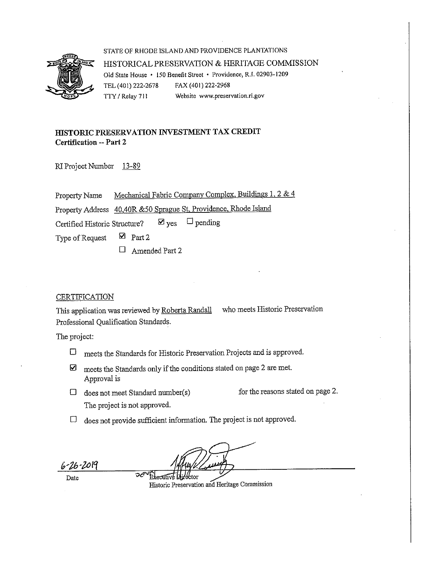

STATE OF RHODE ISLAND AND PROVIDENCE PLANTATIONS HISTORICAL PRESERVATION & HERITAGE COMMISSION Old State House • 150 Benefit Street • Providence, R.I. 02903-1209 TEL (401) 222-2678 FAX (401) 222-2968 TTY / Relay 711 Website www.preservation.ri.gov

## HISTORIC PRESERVATION INVESTMENT TAX CREDIT **Certification -- Part 2**

RI Project Number 13-89

Mechanical Fabric Company Complex, Buildings 1, 2 & 4 Property Name Property Address 40,40R &50 Sprague St, Providence, Rhode Island  $\Box$  pending  $\boxtimes$  yes Certified Historic Structure?

 $\boxtimes$  Part 2 Type of Request

> $\Box$ Amended Part 2

### **CERTIFICATION**

who meets Historic Preservation This application was reviewed by Roberta Randall Professional Qualification Standards.

The project:

- meets the Standards for Historic Preservation Projects and is approved.  $\Box$
- meets the Standards only if the conditions stated on page 2 are met. ☑ Approval is
- $\Box$  does not meet Standard number(s) The project is not approved.

الهجين

Executive L

for the reasons stated on page 2.

 $\Box$  does not provide sufficient information. The project is not approved.

Date

*-16-*2019

Historic Preservation and Heritage Commission

.<br>:tor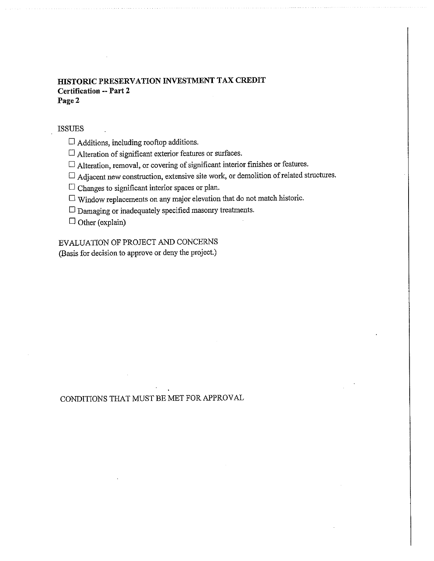## HISTORIC PRESERVATION INVESTMENT TAX CREDIT **Certification -- Part 2** Page 2

#### **ISSUES**

 $\Box$  Additions, including rooftop additions.

 $\Box$  Alteration of significant exterior features or surfaces.

 $\Box$  Alteration, removal, or covering of significant interior finishes or features.

 $\Box$  Adjacent new construction, extensive site work, or demolition of related structures.

 $\Box$  Changes to significant interior spaces or plan.

 $\Box$  Window replacements on any major elevation that do not match historic.

 $\Box$  Damaging or inadequately specified masonry treatments.

 $\Box$  Other (explain)

# EVALUATION OF PROJECT AND CONCERNS

(Basis for decision to approve or deny the project.)

## CONDITIONS THAT MUST BE MET FOR APPROVAL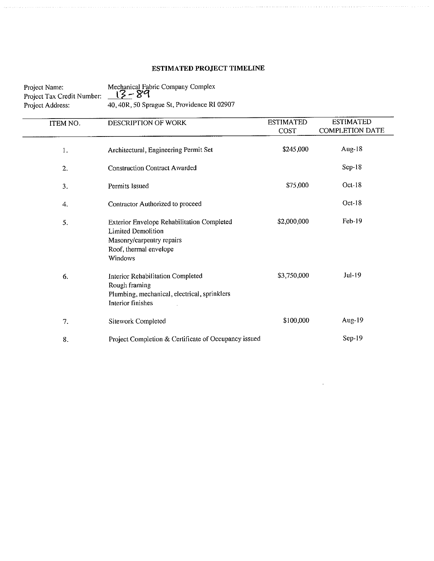# ESTIMATED PROJECT TIMELINE

| Project Name:<br>Project Tax Credit Number:<br>Project Address: | Mechanical Fabric Company Complex<br>ı3 – 89<br>40, 40R, 50 Sprague St, Providence RI 02907                                               |                          |                                            |
|-----------------------------------------------------------------|-------------------------------------------------------------------------------------------------------------------------------------------|--------------------------|--------------------------------------------|
| ITEM NO.                                                        | <b>DESCRIPTION OF WORK</b>                                                                                                                | <b>ESTIMATED</b><br>COST | <b>ESTIMATED</b><br><b>COMPLETION DATE</b> |
| 1.                                                              | Architectural, Engineering Permit Set                                                                                                     | \$245,000                | Aug- $18$                                  |
| $\overline{2}$ .                                                | <b>Construction Contract Awarded</b>                                                                                                      |                          | Sep-18                                     |
| 3.                                                              | Permits Issued                                                                                                                            | \$75,000                 | $Oct-18$                                   |
| 4.                                                              | Contractor Authorized to proceed                                                                                                          |                          | $Oct-18$                                   |
| 5.                                                              | Exterior Envelope Rehabilitation Completed<br><b>Limited Demolition</b><br>Masonry/carpentry repairs<br>Roof, thermal envelope<br>Windows | \$2,000,000              | Feb-19                                     |
| 6.                                                              | <b>Interior Rehabilitation Completed</b><br>Rough framing<br>Plumbing, mechanical, electrical, sprinklers<br>Interior finishes            | \$3,750,000              | $Jul-19$                                   |
| 7.                                                              | Sitework Completed                                                                                                                        | \$100,000                | Aug- $19$                                  |
| 8.                                                              | Project Completion & Certificate of Occupancy issued                                                                                      |                          | $Sep-19$                                   |

 $\bar{z}$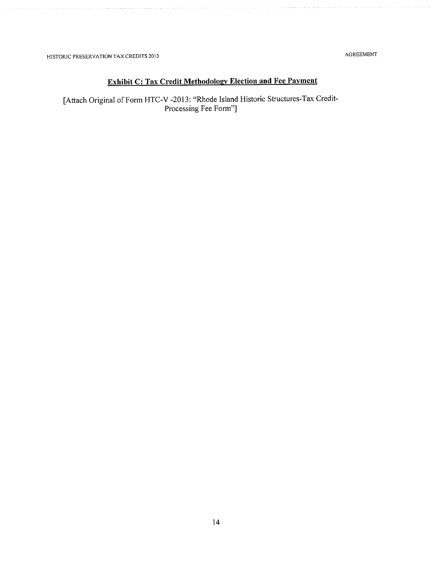HISTORIC PRESERVATION TAX CREDITS 2013

AGREEMENT

# **Exhibit C: Tax Credit Methodology Election and Fee Payment**

[Attach Original of Form HTC-V -2013: "Rhode Island Historic Structures-Tax Credit-Processing Fee Form"]